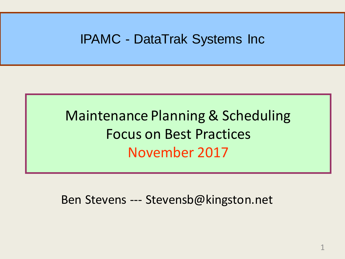#### IPAMC - DataTrak Systems Inc

### Maintenance Planning & Scheduling Focus on Best Practices November 2017

Ben Stevens --- Stevensb@kingston.net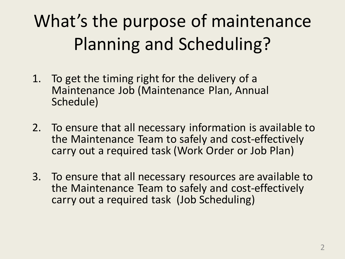# What's the purpose of maintenance Planning and Scheduling?

- 1. To get the timing right for the delivery of a Maintenance Job (Maintenance Plan, Annual Schedule)
- 2. To ensure that all necessary information is available to the Maintenance Team to safely and cost-effectively carry out a required task (Work Order or Job Plan)
- 3. To ensure that all necessary resources are available to the Maintenance Team to safely and cost-effectively carry out a required task (Job Scheduling)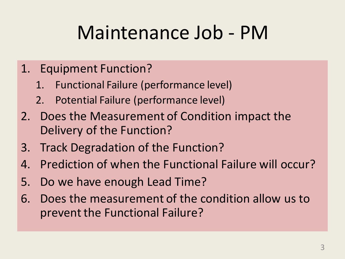# Maintenance Job - PM

- 1. Equipment Function?
	- 1. Functional Failure (performance level)
	- 2. Potential Failure (performance level)
- 2. Does the Measurement of Condition impact the Delivery of the Function?
- 3. Track Degradation of the Function?
- 4. Prediction of when the Functional Failure will occur?
- 5. Do we have enough Lead Time?
- 6. Does the measurement of the condition allow us to prevent the Functional Failure?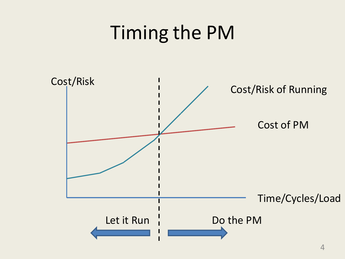# Timing the PM

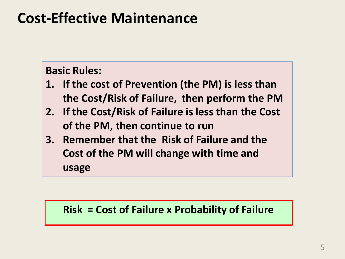### **Cost-Effective Maintenance**

#### **Basic Rules:**

- **1. If the cost of Prevention (the PM) is less than the Cost/Risk of Failure, then perform the PM**
- **2. If the Cost/Risk of Failure is less than the Cost of the PM, then continue to run**
- **3. Remember that the Risk of Failure and the Cost of the PM will change with time and usage**

#### **Risk = Cost of Failure x Probability of Failure**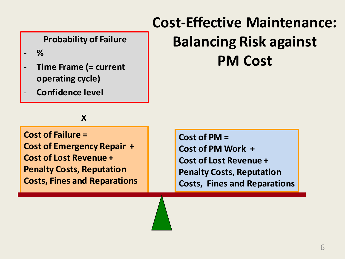#### **Probability of Failure**

- **%**
- **Time Frame (= current operating cycle)**
- **Confidence level**

#### **X**

**Cost of Failure = Cost of Emergency Repair + Cost of Lost Revenue + Penalty Costs, Reputation Costs, Fines and Reparations**

### **Cost-Effective Maintenance: Balancing Risk against PM Cost**

**Cost of PM = Cost of PM Work + Cost of Lost Revenue + Penalty Costs, Reputation Costs, Fines and Reparations**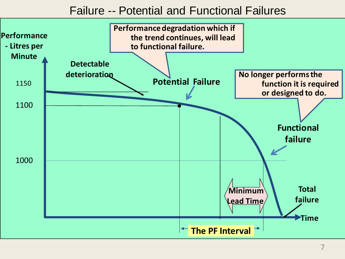#### Failure -- Potential and Functional Failures

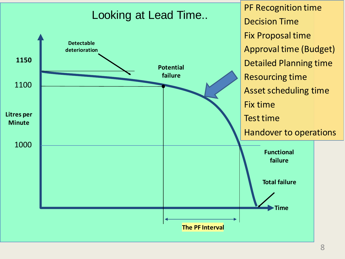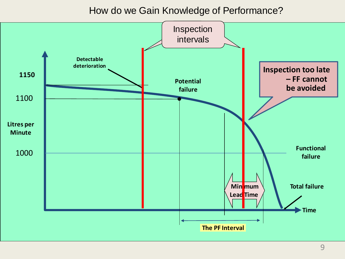How do we Gain Knowledge of Performance?

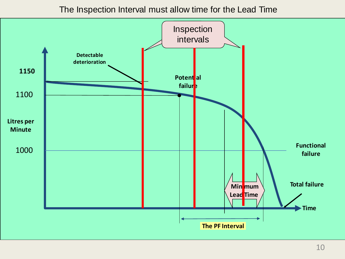The Inspection Interval must allow time for the Lead Time

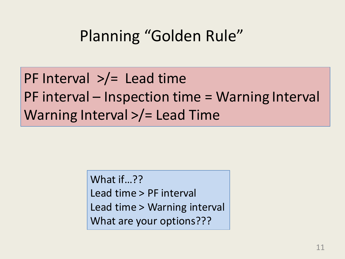## Planning "Golden Rule"

### PF Interval  $\frac{p}{r}$  Lead time PF interval – Inspection time = Warning Interval Warning Interval >/= Lead Time

What if…?? Lead time > PF interval Lead time > Warning interval What are your options???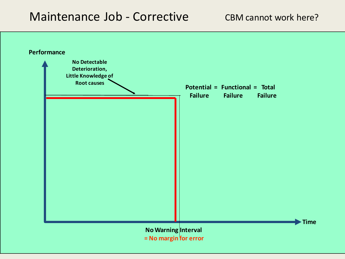#### Maintenance Job - Corrective



**= No margin for error**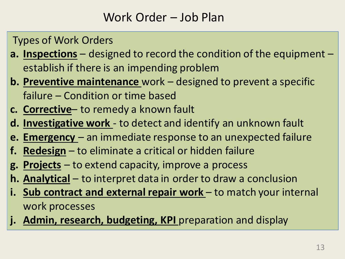#### Work Order – Job Plan

Types of Work Orders

- **a. Inspections** designed to record the condition of the equipment establish if there is an impending problem
- **b. Preventive maintenance** work designed to prevent a specific failure – Condition or time based
- **c. Corrective** to remedy a known fault
- **d. Investigative work**  to detect and identify an unknown fault
- **e. Emergency**  an immediate response to an unexpected failure
- **f. Redesign** to eliminate a critical or hidden failure
- **g. Projects** to extend capacity, improve a process
- **h. Analytical** to interpret data in order to draw a conclusion
- **i. Sub contract and external repair work** to match your internal work processes
- j. Admin, research, budgeting, KPI preparation and display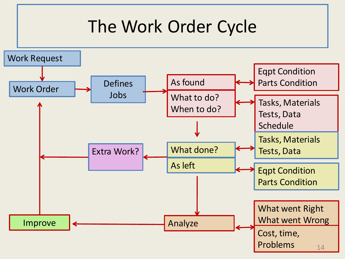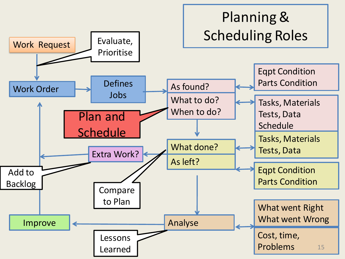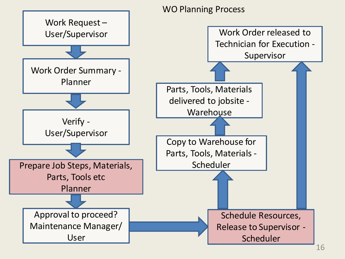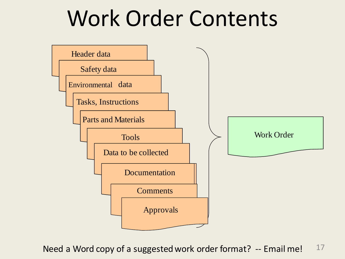# Work Order Contents



17 Need a Word copy of a suggested work order format? -- Email me!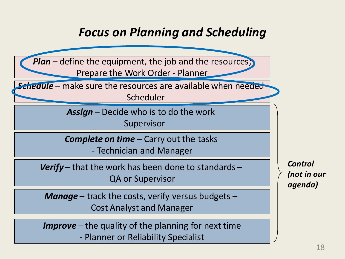#### *Focus on Planning and Scheduling*

**Plan** – define the equipment, the job and the resources; Prepare the Work Order - Planner

*Schedule* – make sure the resources are available when needed - Scheduler

> *Assign* – Decide who is to do the work - Supervisor

*Complete on time* – Carry out the tasks

- Technician and Manager

*Verify* – that the work has been done to standards – QA or Supervisor

*Manage* – track the costs, verify versus budgets – Cost Analyst and Manager

*Improve* – the quality of the planning for next time - Planner or Reliability Specialist

*Control (not in our agenda)*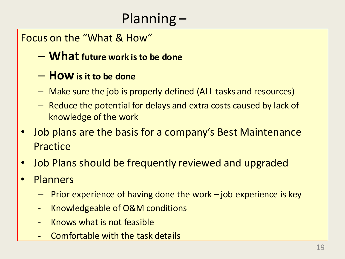#### Planning –

#### Focus on the "What & How"

– **Whatfuture work is to be done**

#### – **How is it to be done**

- Make sure the job is properly defined (ALL tasks and resources)
- Reduce the potential for delays and extra costs caused by lack of knowledge of the work
- Job plans are the basis for a company's Best Maintenance **Practice**
- Job Plans should be frequently reviewed and upgraded
- Planners
	- Prior experience of having done the work job experience is key
	- Knowledgeable of O&M conditions
	- Knows what is not feasible
	- Comfortable with the task details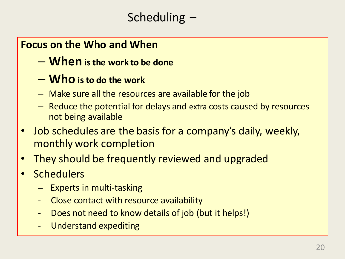#### **Focus on the Who and When**

- **When is the work to be done**
- **Who is to do the work**
- Make sure all the resources are available for the job
- Reduce the potential for delays and extra costs caused by resources not being available
- Job schedules are the basis for a company's daily, weekly, monthly work completion
- They should be frequently reviewed and upgraded
- Schedulers
	- Experts in multi-tasking
	- Close contact with resource availability
	- Does not need to know details of job (but it helps!)
	- Understand expediting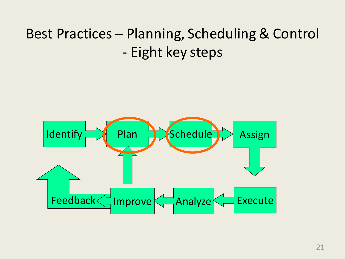### Best Practices – Planning, Scheduling & Control - Eight key steps

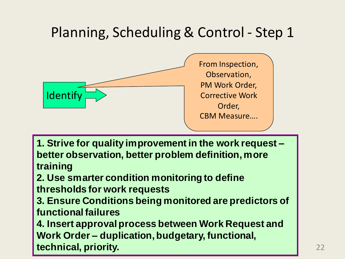

**1. Strive for quality improvement in the work request – better observation, better problem definition, more training**

**2. Use smarter condition monitoring to define thresholds for work requests**

**3. Ensure Conditions being monitored are predictors of functional failures** 

**4. Insert approval process between Work Request and Work Order – duplication, budgetary, functional, technical, priority.**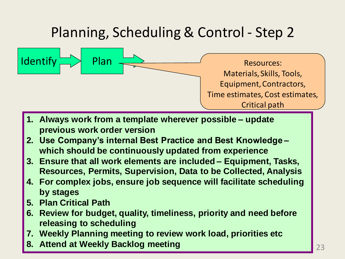$Identity \equiv \rightarrow$  Plan  $\equiv$   $\rightarrow$  Resources: Materials, Skills, Tools, Equipment, Contractors, Time estimates, Cost estimates, Critical path

- **1. Always work from a template wherever possible – update previous work order version**
- **2. Use Company's internal Best Practice and Best Knowledge – which should be continuously updated from experience**
- **3. Ensure that all work elements are included – Equipment, Tasks, Resources, Permits, Supervision, Data to be Collected, Analysis**
- **4. For complex jobs, ensure job sequence will facilitate scheduling by stages**
- **5. Plan Critical Path**
- **6. Review for budget, quality, timeliness, priority and need before releasing to scheduling**
- **7. Weekly Planning meeting to review work load, priorities etc**
- **8. Attend at Weekly Backlog meeting**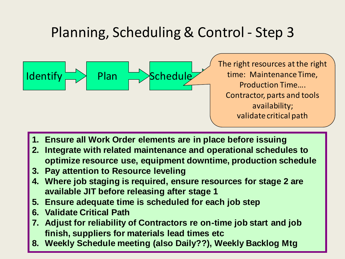

The right resources at the right time: Maintenance Time, Production Time…. Contractor, parts and tools availability; validate critical path

24

- **1. Ensure all Work Order elements are in place before issuing**
- **2. Integrate with related maintenance and operational schedules to optimize resource use, equipment downtime, production schedule**
- **3. Pay attention to Resource leveling**
- **4. Where job staging is required, ensure resources for stage 2 are available JIT before releasing after stage 1**
- **5. Ensure adequate time is scheduled for each job step**
- **6. Validate Critical Path**
- **7. Adjust for reliability of Contractors re on-time job start and job finish, suppliers for materials lead times etc**
- **8. Weekly Schedule meeting (also Daily??), Weekly Backlog Mtg**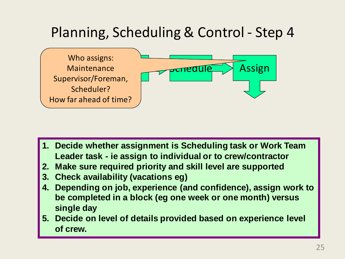

- **1. Decide whether assignment is Scheduling task or Work Team Leader task - ie assign to individual or to crew/contractor**
- **2. Make sure required priority and skill level are supported**
- **3. Check availability (vacations eg)**
- **4. Depending on job, experience (and confidence), assign work to be completed in a block (eg one week or one month) versus single day**
- **5. Decide on level of details provided based on experience level of crew.**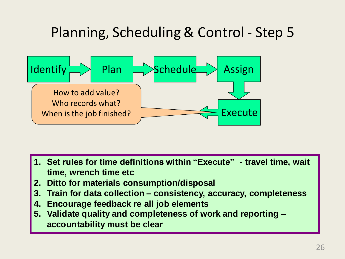

- **1. Set rules for time definitions within "Execute" - travel time, wait time, wrench time etc**
- **2. Ditto for materials consumption/disposal**
- **3. Train for data collection – consistency, accuracy, completeness**
- **4. Encourage feedback re all job elements**
- **5. Validate quality and completeness of work and reporting – accountability must be clear**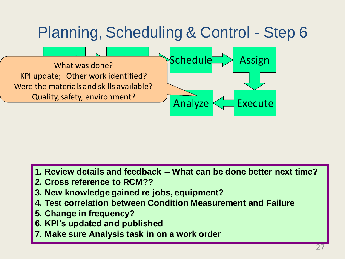

- **1. Review details and feedback -- What can be done better next time?**
- **2. Cross reference to RCM??**
- **3. New knowledge gained re jobs, equipment?**
- **4. Test correlation between Condition Measurement and Failure**
- **5. Change in frequency?**
- **6. KPI's updated and published**
- **7. Make sure Analysis task in on a work order**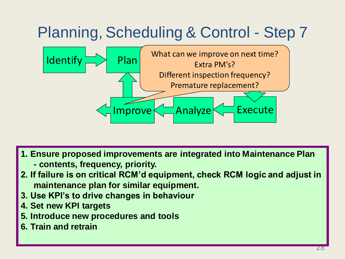

- **1. Ensure proposed improvements are integrated into Maintenance Plan**
	- **- contents, frequency, priority.**
- **2. If failure is on critical RCM'd equipment, check RCM logic and adjust in maintenance plan for similar equipment.**
- **3. Use KPI's to drive changes in behaviour**
- **4. Set new KPI targets**
- **5. Introduce new procedures and tools**
- **6. Train and retrain**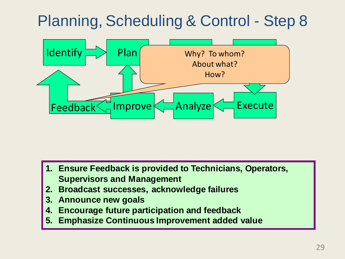

- **1. Ensure Feedback is provided to Technicians, Operators, Supervisors and Management**
- **2. Broadcast successes, acknowledge failures**
- **3. Announce new goals**
- **4. Encourage future participation and feedback**
- **5. Emphasize Continuous Improvement added value**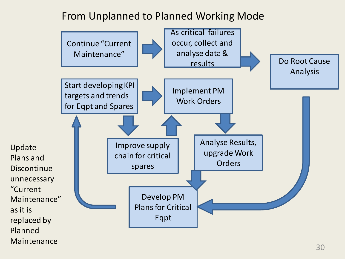#### From Unplanned to Planned Working Mode

as it is

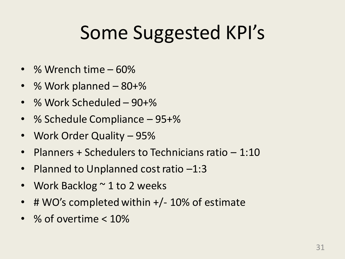# Some Suggested KPI's

- % Wrench time 60%
- % Work planned 80+%
- % Work Scheduled 90+%
- % Schedule Compliance 95+%
- Work Order Quality 95%
- Planners + Schedulers to Technicians ratio 1:10
- Planned to Unplanned cost ratio -1:3
- Work Backlog  $\sim$  1 to 2 weeks
- # WO's completed within +/- 10% of estimate
- % of overtime < 10%